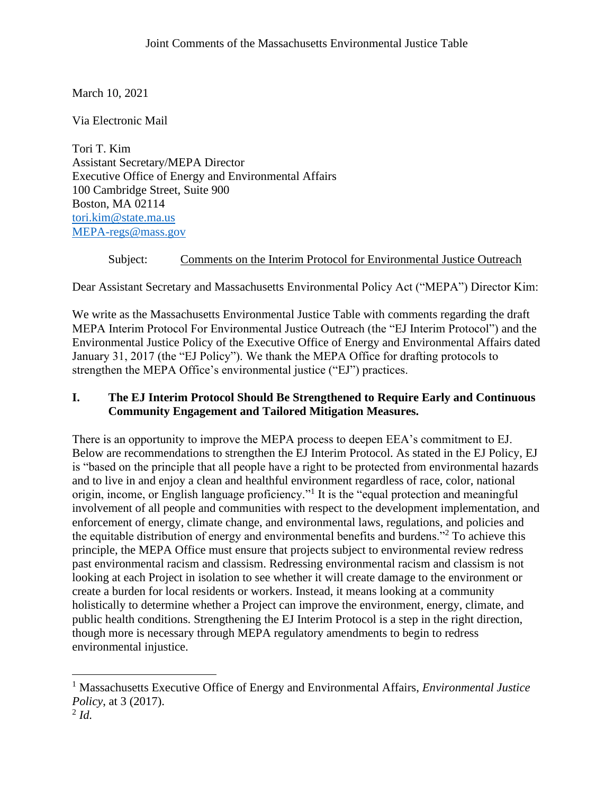March 10, 2021

Via Electronic Mail

Tori T. Kim Assistant Secretary/MEPA Director Executive Office of Energy and Environmental Affairs 100 Cambridge Street, Suite 900 Boston, MA 02114 [tori.kim@state.ma.us](mailto:tori.kim@state.ma.us) [MEPA-regs@mass.gov](mailto:MEPA-regs@mass.gov)

# Subject: Comments on the Interim Protocol for Environmental Justice Outreach

Dear Assistant Secretary and Massachusetts Environmental Policy Act ("MEPA") Director Kim:

We write as the Massachusetts Environmental Justice Table with comments regarding the draft MEPA Interim Protocol For Environmental Justice Outreach (the "EJ Interim Protocol") and the Environmental Justice Policy of the Executive Office of Energy and Environmental Affairs dated January 31, 2017 (the "EJ Policy"). We thank the MEPA Office for drafting protocols to strengthen the MEPA Office's environmental justice ("EJ") practices.

# **I. The EJ Interim Protocol Should Be Strengthened to Require Early and Continuous Community Engagement and Tailored Mitigation Measures.**

There is an opportunity to improve the MEPA process to deepen EEA's commitment to EJ. Below are recommendations to strengthen the EJ Interim Protocol. As stated in the EJ Policy, EJ is "based on the principle that all people have a right to be protected from environmental hazards and to live in and enjoy a clean and healthful environment regardless of race, color, national origin, income, or English language proficiency."<sup>1</sup> It is the "equal protection and meaningful involvement of all people and communities with respect to the development implementation, and enforcement of energy, climate change, and environmental laws, regulations, and policies and the equitable distribution of energy and environmental benefits and burdens."<sup>2</sup> To achieve this principle, the MEPA Office must ensure that projects subject to environmental review redress past environmental racism and classism. Redressing environmental racism and classism is not looking at each Project in isolation to see whether it will create damage to the environment or create a burden for local residents or workers. Instead, it means looking at a community holistically to determine whether a Project can improve the environment, energy, climate, and public health conditions. Strengthening the EJ Interim Protocol is a step in the right direction, though more is necessary through MEPA regulatory amendments to begin to redress environmental injustice.

<sup>1</sup> Massachusetts Executive Office of Energy and Environmental Affairs, *Environmental Justice Policy*, at 3 (2017).

<sup>2</sup> *Id.*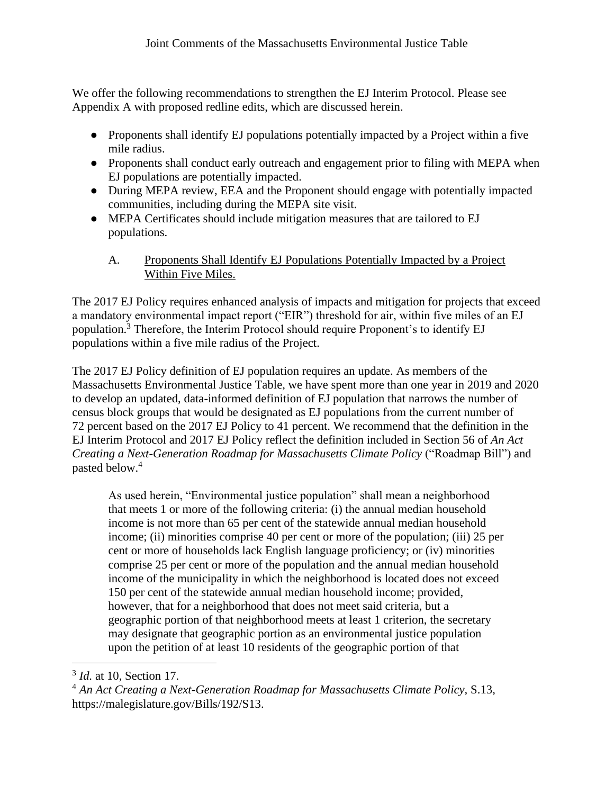We offer the following recommendations to strengthen the EJ Interim Protocol. Please see Appendix A with proposed redline edits, which are discussed herein.

- Proponents shall identify EJ populations potentially impacted by a Project within a five mile radius.
- Proponents shall conduct early outreach and engagement prior to filing with MEPA when EJ populations are potentially impacted.
- During MEPA review, EEA and the Proponent should engage with potentially impacted communities, including during the MEPA site visit.
- MEPA Certificates should include mitigation measures that are tailored to EJ populations.
	- A. Proponents Shall Identify EJ Populations Potentially Impacted by a Project Within Five Miles.

The 2017 EJ Policy requires enhanced analysis of impacts and mitigation for projects that exceed a mandatory environmental impact report ("EIR") threshold for air, within five miles of an EJ population.<sup>3</sup> Therefore, the Interim Protocol should require Proponent's to identify EJ populations within a five mile radius of the Project.

The 2017 EJ Policy definition of EJ population requires an update. As members of the Massachusetts Environmental Justice Table, we have spent more than one year in 2019 and 2020 to develop an updated, data-informed definition of EJ population that narrows the number of census block groups that would be designated as EJ populations from the current number of 72 percent based on the 2017 EJ Policy to 41 percent. We recommend that the definition in the EJ Interim Protocol and 2017 EJ Policy reflect the definition included in Section 56 of *An Act Creating a Next-Generation Roadmap for Massachusetts Climate Policy* ("Roadmap Bill") and pasted below.<sup>4</sup>

As used herein, "Environmental justice population" shall mean a neighborhood that meets 1 or more of the following criteria: (i) the annual median household income is not more than 65 per cent of the statewide annual median household income; (ii) minorities comprise 40 per cent or more of the population; (iii) 25 per cent or more of households lack English language proficiency; or (iv) minorities comprise 25 per cent or more of the population and the annual median household income of the municipality in which the neighborhood is located does not exceed 150 per cent of the statewide annual median household income; provided, however, that for a neighborhood that does not meet said criteria, but a geographic portion of that neighborhood meets at least 1 criterion, the secretary may designate that geographic portion as an environmental justice population upon the petition of at least 10 residents of the geographic portion of that

<sup>3</sup> *Id.* at 10, Section 17.

<sup>4</sup> *An Act Creating a Next-Generation Roadmap for Massachusetts Climate Policy,* S.13, https://malegislature.gov/Bills/192/S13.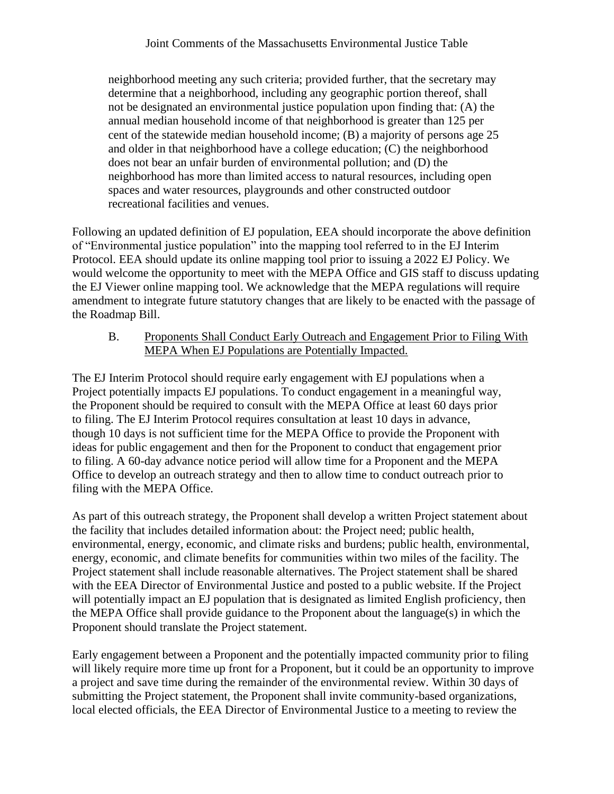neighborhood meeting any such criteria; provided further, that the secretary may determine that a neighborhood, including any geographic portion thereof, shall not be designated an environmental justice population upon finding that: (A) the annual median household income of that neighborhood is greater than 125 per cent of the statewide median household income; (B) a majority of persons age 25 and older in that neighborhood have a college education; (C) the neighborhood does not bear an unfair burden of environmental pollution; and (D) the neighborhood has more than limited access to natural resources, including open spaces and water resources, playgrounds and other constructed outdoor recreational facilities and venues.

Following an updated definition of EJ population, EEA should incorporate the above definition of "Environmental justice population" into the mapping tool referred to in the EJ Interim Protocol. EEA should update its online mapping tool prior to issuing a 2022 EJ Policy. We would welcome the opportunity to meet with the MEPA Office and GIS staff to discuss updating the EJ Viewer online mapping tool. We acknowledge that the MEPA regulations will require amendment to integrate future statutory changes that are likely to be enacted with the passage of the Roadmap Bill.

B. Proponents Shall Conduct Early Outreach and Engagement Prior to Filing With MEPA When EJ Populations are Potentially Impacted.

The EJ Interim Protocol should require early engagement with EJ populations when a Project potentially impacts EJ populations. To conduct engagement in a meaningful way, the Proponent should be required to consult with the MEPA Office at least 60 days prior to filing. The EJ Interim Protocol requires consultation at least 10 days in advance, though 10 days is not sufficient time for the MEPA Office to provide the Proponent with ideas for public engagement and then for the Proponent to conduct that engagement prior to filing. A 60-day advance notice period will allow time for a Proponent and the MEPA Office to develop an outreach strategy and then to allow time to conduct outreach prior to filing with the MEPA Office.

As part of this outreach strategy, the Proponent shall develop a written Project statement about the facility that includes detailed information about: the Project need; public health, environmental, energy, economic, and climate risks and burdens; public health, environmental, energy, economic, and climate benefits for communities within two miles of the facility. The Project statement shall include reasonable alternatives. The Project statement shall be shared with the EEA Director of Environmental Justice and posted to a public website. If the Project will potentially impact an EJ population that is designated as limited English proficiency, then the MEPA Office shall provide guidance to the Proponent about the language(s) in which the Proponent should translate the Project statement.

Early engagement between a Proponent and the potentially impacted community prior to filing will likely require more time up front for a Proponent, but it could be an opportunity to improve a project and save time during the remainder of the environmental review. Within 30 days of submitting the Project statement, the Proponent shall invite community-based organizations, local elected officials, the EEA Director of Environmental Justice to a meeting to review the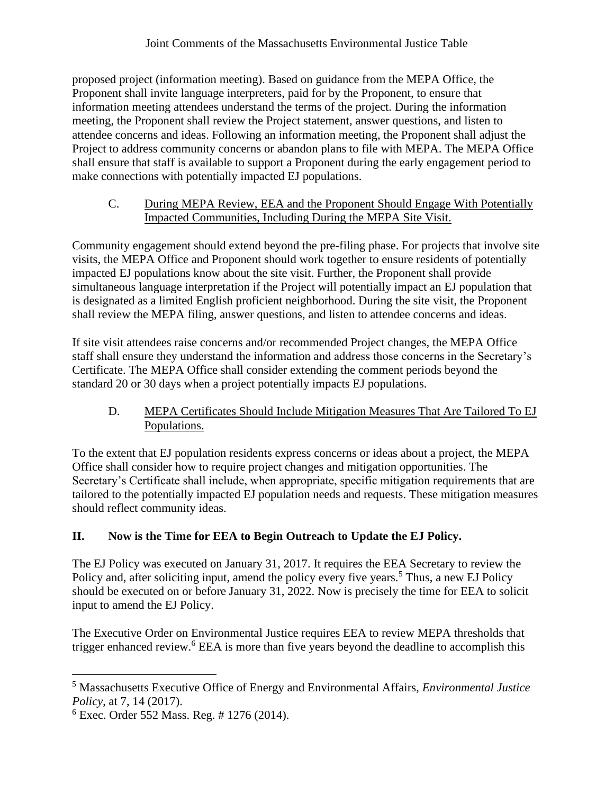proposed project (information meeting). Based on guidance from the MEPA Office, the Proponent shall invite language interpreters, paid for by the Proponent, to ensure that information meeting attendees understand the terms of the project. During the information meeting, the Proponent shall review the Project statement, answer questions, and listen to attendee concerns and ideas. Following an information meeting, the Proponent shall adjust the Project to address community concerns or abandon plans to file with MEPA. The MEPA Office shall ensure that staff is available to support a Proponent during the early engagement period to make connections with potentially impacted EJ populations.

### C. During MEPA Review, EEA and the Proponent Should Engage With Potentially Impacted Communities, Including During the MEPA Site Visit.

Community engagement should extend beyond the pre-filing phase. For projects that involve site visits, the MEPA Office and Proponent should work together to ensure residents of potentially impacted EJ populations know about the site visit. Further, the Proponent shall provide simultaneous language interpretation if the Project will potentially impact an EJ population that is designated as a limited English proficient neighborhood. During the site visit, the Proponent shall review the MEPA filing, answer questions, and listen to attendee concerns and ideas.

If site visit attendees raise concerns and/or recommended Project changes, the MEPA Office staff shall ensure they understand the information and address those concerns in the Secretary's Certificate. The MEPA Office shall consider extending the comment periods beyond the standard 20 or 30 days when a project potentially impacts EJ populations.

# D. MEPA Certificates Should Include Mitigation Measures That Are Tailored To EJ Populations.

To the extent that EJ population residents express concerns or ideas about a project, the MEPA Office shall consider how to require project changes and mitigation opportunities. The Secretary's Certificate shall include, when appropriate, specific mitigation requirements that are tailored to the potentially impacted EJ population needs and requests. These mitigation measures should reflect community ideas.

# **II. Now is the Time for EEA to Begin Outreach to Update the EJ Policy.**

The EJ Policy was executed on January 31, 2017. It requires the EEA Secretary to review the Policy and, after soliciting input, amend the policy every five years.<sup>5</sup> Thus, a new EJ Policy should be executed on or before January 31, 2022. Now is precisely the time for EEA to solicit input to amend the EJ Policy.

The Executive Order on Environmental Justice requires EEA to review MEPA thresholds that trigger enhanced review.<sup>6</sup> EEA is more than five years beyond the deadline to accomplish this

<sup>5</sup> Massachusetts Executive Office of Energy and Environmental Affairs, *Environmental Justice Policy*, at 7, 14 (2017).

 $6$  Exec. Order 552 Mass. Reg. # 1276 (2014).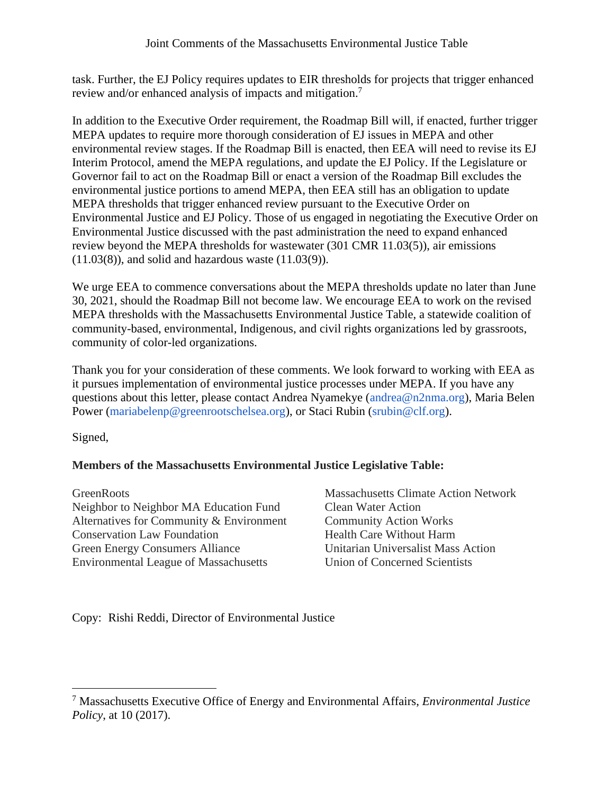task. Further, the EJ Policy requires updates to EIR thresholds for projects that trigger enhanced review and/or enhanced analysis of impacts and mitigation.<sup>7</sup>

In addition to the Executive Order requirement, the Roadmap Bill will, if enacted, further trigger MEPA updates to require more thorough consideration of EJ issues in MEPA and other environmental review stages. If the Roadmap Bill is enacted, then EEA will need to revise its EJ Interim Protocol, amend the MEPA regulations, and update the EJ Policy. If the Legislature or Governor fail to act on the Roadmap Bill or enact a version of the Roadmap Bill excludes the environmental justice portions to amend MEPA, then EEA still has an obligation to update MEPA thresholds that trigger enhanced review pursuant to the Executive Order on Environmental Justice and EJ Policy. Those of us engaged in negotiating the Executive Order on Environmental Justice discussed with the past administration the need to expand enhanced review beyond the MEPA thresholds for wastewater (301 CMR 11.03(5)), air emissions  $(11.03(8))$ , and solid and hazardous waste  $(11.03(9))$ .

We urge EEA to commence conversations about the MEPA thresholds update no later than June 30, 2021, should the Roadmap Bill not become law. We encourage EEA to work on the revised MEPA thresholds with the Massachusetts Environmental Justice Table, a statewide coalition of community-based, environmental, Indigenous, and civil rights organizations led by grassroots, community of color-led organizations.

Thank you for your consideration of these comments. We look forward to working with EEA as it pursues implementation of environmental justice processes under MEPA. If you have any questions about this letter, please contact Andrea Nyamekye (andrea@n2nma.org), Maria Belen Power (mariabelenp@greenrootschelsea.org), or Staci Rubin (srubin@clf.org).

Signed,

# **Members of the Massachusetts Environmental Justice Legislative Table:**

**GreenRoots** Neighbor to Neighbor MA Education Fund Alternatives for Community & Environment Conservation Law Foundation Green Energy Consumers Alliance Environmental League of Massachusetts

Massachusetts Climate Action Network Clean Water Action Community Action Works Health Care Without Harm Unitarian Universalist Mass Action Union of Concerned Scientists

Copy: Rishi Reddi, Director of Environmental Justice

<sup>7</sup> Massachusetts Executive Office of Energy and Environmental Affairs, *Environmental Justice Policy*, at 10 (2017).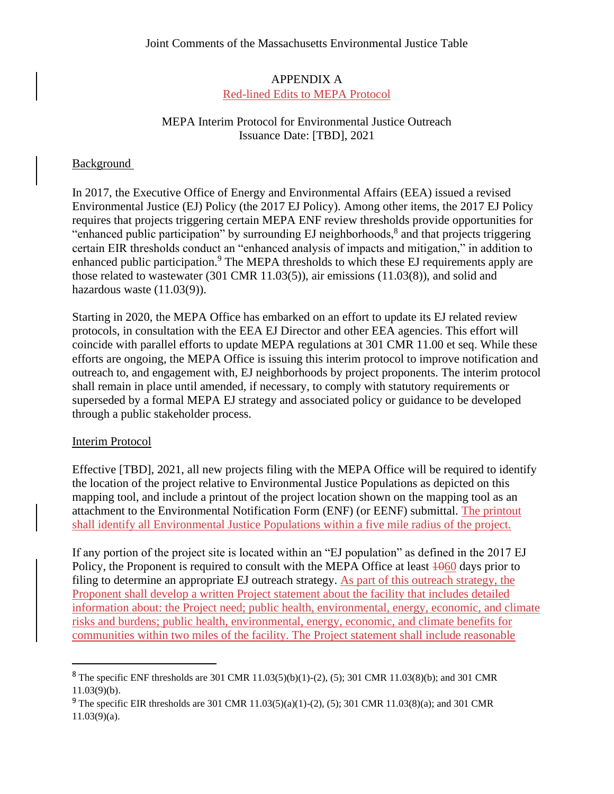## APPENDIX A Red-lined Edits to MEPA Protocol

### MEPA Interim Protocol for Environmental Justice Outreach Issuance Date: [TBD], 2021

### **Background**

In 2017, the Executive Office of Energy and Environmental Affairs (EEA) issued a revised Environmental Justice (EJ) Policy (the 2017 EJ Policy). Among other items, the 2017 EJ Policy requires that projects triggering certain MEPA ENF review thresholds provide opportunities for "enhanced public participation" by surrounding EJ neighborhoods,<sup>8</sup> and that projects triggering certain EIR thresholds conduct an "enhanced analysis of impacts and mitigation," in addition to enhanced public participation.<sup>9</sup> The MEPA thresholds to which these EJ requirements apply are those related to wastewater (301 CMR 11.03(5)), air emissions (11.03(8)), and solid and hazardous waste  $(11.03(9))$ .

Starting in 2020, the MEPA Office has embarked on an effort to update its EJ related review protocols, in consultation with the EEA EJ Director and other EEA agencies. This effort will coincide with parallel efforts to update MEPA regulations at 301 CMR 11.00 et seq. While these efforts are ongoing, the MEPA Office is issuing this interim protocol to improve notification and outreach to, and engagement with, EJ neighborhoods by project proponents. The interim protocol shall remain in place until amended, if necessary, to comply with statutory requirements or superseded by a formal MEPA EJ strategy and associated policy or guidance to be developed through a public stakeholder process.

#### Interim Protocol

Effective [TBD], 2021, all new projects filing with the MEPA Office will be required to identify the location of the project relative to Environmental Justice Populations as depicted on this mapping tool, and include a printout of the project location shown on the mapping tool as an attachment to the Environmental Notification Form (ENF) (or EENF) submittal. The printout shall identify all Environmental Justice Populations within a five mile radius of the project.

If any portion of the project site is located within an "EJ population" as defined in the 2017 EJ Policy, the Proponent is required to consult with the MEPA Office at least  $\frac{1060}{100}$  days prior to filing to determine an appropriate EJ outreach strategy. As part of this outreach strategy, the Proponent shall develop a written Project statement about the facility that includes detailed information about: the Project need; public health, environmental, energy, economic, and climate risks and burdens; public health, environmental, energy, economic, and climate benefits for communities within two miles of the facility. The Project statement shall include reasonable

<sup>&</sup>lt;sup>8</sup> The specific ENF thresholds are 301 CMR 11.03(5)(b)(1)-(2), (5); 301 CMR 11.03(8)(b); and 301 CMR  $11.03(9)(b)$ .

<sup>&</sup>lt;sup>9</sup> The specific EIR thresholds are 301 CMR 11.03(5)(a)(1)-(2), (5); 301 CMR 11.03(8)(a); and 301 CMR  $11.03(9)(a)$ .